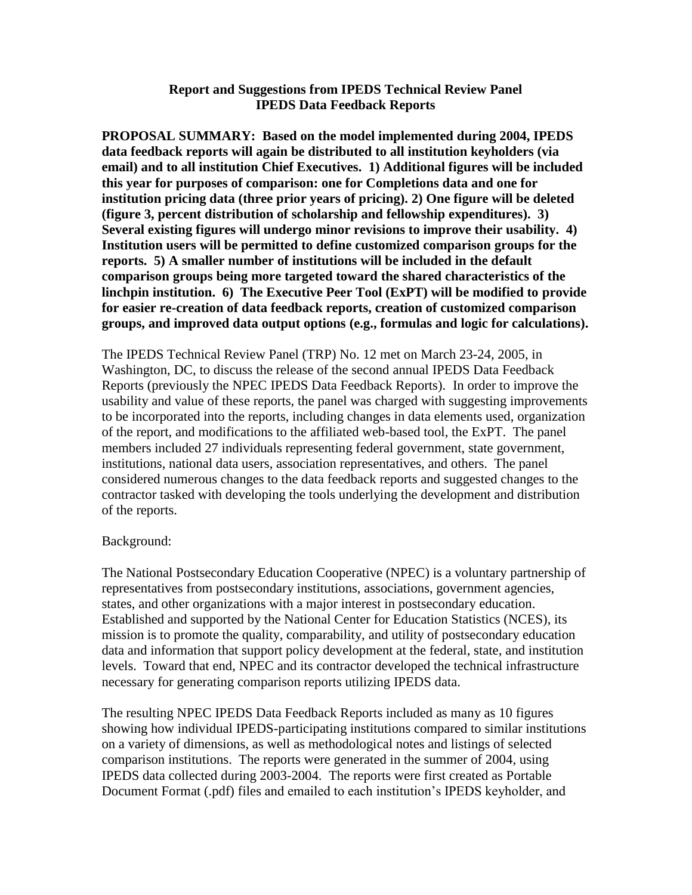## **Report and Suggestions from IPEDS Technical Review Panel IPEDS Data Feedback Reports**

**PROPOSAL SUMMARY: Based on the model implemented during 2004, IPEDS data feedback reports will again be distributed to all institution keyholders (via email) and to all institution Chief Executives. 1) Additional figures will be included this year for purposes of comparison: one for Completions data and one for institution pricing data (three prior years of pricing). 2) One figure will be deleted (figure 3, percent distribution of scholarship and fellowship expenditures). 3) Several existing figures will undergo minor revisions to improve their usability. 4) Institution users will be permitted to define customized comparison groups for the reports. 5) A smaller number of institutions will be included in the default comparison groups being more targeted toward the shared characteristics of the linchpin institution. 6) The Executive Peer Tool (ExPT) will be modified to provide for easier re-creation of data feedback reports, creation of customized comparison groups, and improved data output options (e.g., formulas and logic for calculations).**

The IPEDS Technical Review Panel (TRP) No. 12 met on March 23-24, 2005, in Washington, DC, to discuss the release of the second annual IPEDS Data Feedback Reports (previously the NPEC IPEDS Data Feedback Reports). In order to improve the usability and value of these reports, the panel was charged with suggesting improvements to be incorporated into the reports, including changes in data elements used, organization of the report, and modifications to the affiliated web-based tool, the ExPT. The panel members included 27 individuals representing federal government, state government, institutions, national data users, association representatives, and others. The panel considered numerous changes to the data feedback reports and suggested changes to the contractor tasked with developing the tools underlying the development and distribution of the reports.

## Background:

The National Postsecondary Education Cooperative (NPEC) is a voluntary partnership of representatives from postsecondary institutions, associations, government agencies, states, and other organizations with a major interest in postsecondary education. Established and supported by the National Center for Education Statistics (NCES), its mission is to promote the quality, comparability, and utility of postsecondary education data and information that support policy development at the federal, state, and institution levels. Toward that end, NPEC and its contractor developed the technical infrastructure necessary for generating comparison reports utilizing IPEDS data.

The resulting NPEC IPEDS Data Feedback Reports included as many as 10 figures showing how individual IPEDS-participating institutions compared to similar institutions on a variety of dimensions, as well as methodological notes and listings of selected comparison institutions. The reports were generated in the summer of 2004, using IPEDS data collected during 2003-2004. The reports were first created as Portable Document Format (.pdf) files and emailed to each institution's IPEDS keyholder, and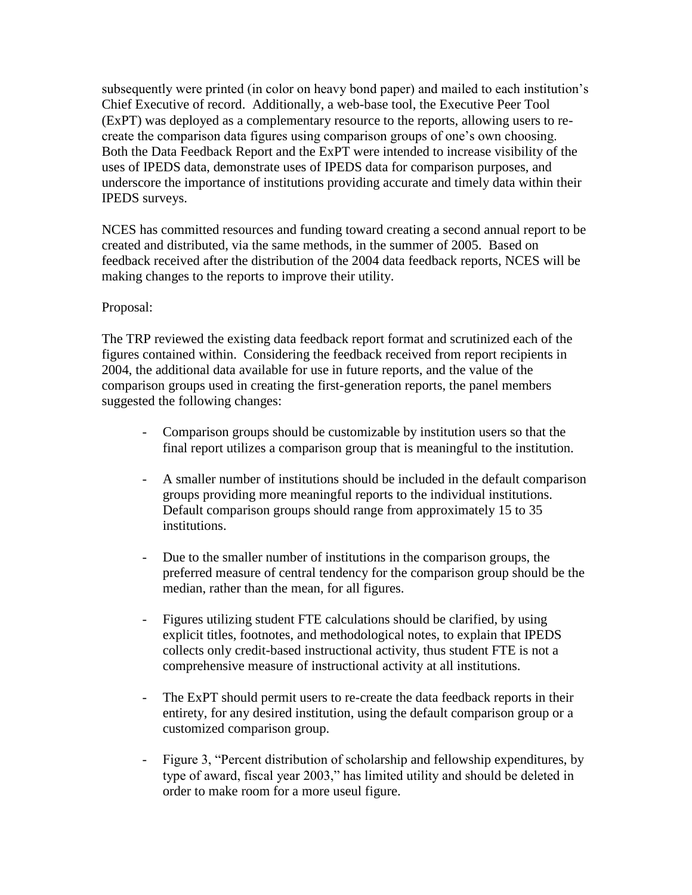subsequently were printed (in color on heavy bond paper) and mailed to each institution's Chief Executive of record. Additionally, a web-base tool, the Executive Peer Tool (ExPT) was deployed as a complementary resource to the reports, allowing users to recreate the comparison data figures using comparison groups of one's own choosing. Both the Data Feedback Report and the ExPT were intended to increase visibility of the uses of IPEDS data, demonstrate uses of IPEDS data for comparison purposes, and underscore the importance of institutions providing accurate and timely data within their IPEDS surveys.

NCES has committed resources and funding toward creating a second annual report to be created and distributed, via the same methods, in the summer of 2005. Based on feedback received after the distribution of the 2004 data feedback reports, NCES will be making changes to the reports to improve their utility.

# Proposal:

The TRP reviewed the existing data feedback report format and scrutinized each of the figures contained within. Considering the feedback received from report recipients in 2004, the additional data available for use in future reports, and the value of the comparison groups used in creating the first-generation reports, the panel members suggested the following changes:

- Comparison groups should be customizable by institution users so that the final report utilizes a comparison group that is meaningful to the institution.
- A smaller number of institutions should be included in the default comparison groups providing more meaningful reports to the individual institutions. Default comparison groups should range from approximately 15 to 35 institutions.
- Due to the smaller number of institutions in the comparison groups, the preferred measure of central tendency for the comparison group should be the median, rather than the mean, for all figures.
- Figures utilizing student FTE calculations should be clarified, by using explicit titles, footnotes, and methodological notes, to explain that IPEDS collects only credit-based instructional activity, thus student FTE is not a comprehensive measure of instructional activity at all institutions.
- The ExPT should permit users to re-create the data feedback reports in their entirety, for any desired institution, using the default comparison group or a customized comparison group.
- Figure 3, "Percent distribution of scholarship and fellowship expenditures, by type of award, fiscal year 2003," has limited utility and should be deleted in order to make room for a more useul figure.